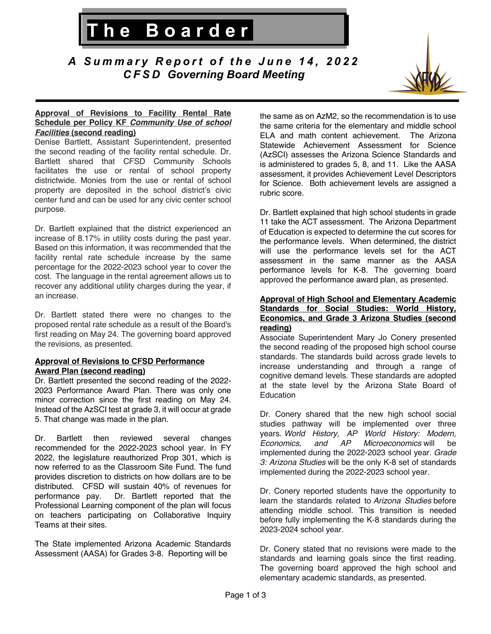*A Summary Report of the Jun e 1 4 , 2 0 2 2 CFSD Governing Board Meeting*

**The Boarder**



### **Approval of Revisions to Facility Rental Rate Schedule per Policy KF** *Community Use of school Facilities* **(second reading)**

I

Denise Bartlett, Assistant Superintendent, presented the second reading of the facility rental schedule. Dr. Bartlett shared that CFSD Community Schools facilitates the use or rental of school property districtwide. Monies from the use or rental of school property are deposited in the school district's civic center fund and can be used for any civic center school purpose.

Dr. Bartlett explained that the district experienced an increase of 8.17% in utility costs during the past year. Based on this information, it was recommended that the facility rental rate schedule increase by the same percentage for the 2022-2023 school year to cover the cost. The language in the rental agreement allows us to recover any additional utility charges during the year, if an increase.

Dr. Bartlett stated there were no changes to the proposed rental rate schedule as a result of the Board's first reading on May 24. The governing board approved the revisions, as presented.

#### **Approval of Revisions to CFSD Performance Award Plan (second reading)**

Dr. Bartlett presented the second reading of the 2022- 2023 Performance Award Plan. There was only one minor correction since the first reading on May 24. Instead of the AzSCI test at grade 3, it will occur at grade 5. That change was made in the plan.

Dr. Bartlett then reviewed several changes recommended for the 2022-2023 school year. In FY 2022, the legislature reauthorized Prop 301, which is now referred to as the Classroom Site Fund. The fund provides discretion to districts on how dollars are to be distributed. CFSD will sustain 40% of revenues for performance pay. Dr. Bartlett reported that the Professional Learning component of the plan will focus on teachers participating on Collaborative Inquiry Teams at their sites.

The State implemented Arizona Academic Standards Assessment (AASA) for Grades 3-8. Reporting will be

the same as on AzM2, so the recommendation is to use the same criteria for the elementary and middle school ELA and math content achievement. The Arizona Statewide Achievement Assessment for Science (AzSCI) assesses the Arizona Science Standards and is administered to grades 5, 8, and 11. Like the AASA assessment, it provides Achievement Level Descriptors for Science. Both achievement levels are assigned a rubric score.

Dr. Bartlett explained that high school students in grade 11 take the ACT assessment. The Arizona Department of Education is expected to determine the cut scores for the performance levels. When determined, the district will use the performance levels set for the ACT assessment in the same manner as the AASA performance levels for K-8. The governing board approved the performance award plan, as presented.

#### **Approval of High School and Elementary Academic Standards for Social Studies: World History, Economics, and Grade 3 Arizona Studies (second reading)**

Associate Superintendent Mary Jo Conery presented the second reading of the proposed high school course standards. The standards build across grade levels to increase understanding and through a range of cognitive demand levels. These standards are adopted at the state level by the Arizona State Board of **Education** 

Dr. Conery shared that the new high school social studies pathway will be implemented over three years. *World History, AP World History: Modern, Economics, and AP Microeconomics* will be implemented during the 2022-2023 school year. *Grade 3: Arizona Studies* will be the only K-8 set of standards implemented during the 2022-2023 school year.

Dr. Conery reported students have the opportunity to learn the standards related to *Arizona Studies* before attending middle school. This transition is needed before fully implementing the K-8 standards during the 2023-2024 school year.

Dr. Conery stated that no revisions were made to the standards and learning goals since the first reading. The governing board approved the high school and elementary academic standards, as presented.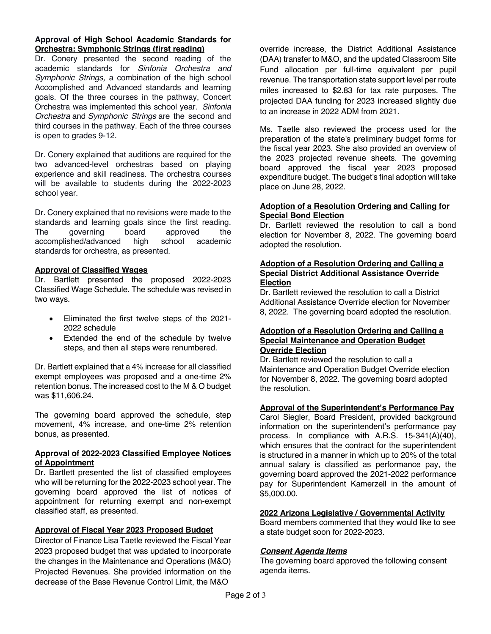### **Approval of High School Academic Standards for Orchestra: Symphonic Strings (first reading)**

Dr. Conery presented the second reading of the academic standards for *Sinfonia Orchestra and Symphonic Strings,* a combination of the high school Accomplished and Advanced standards and learning goals. Of the three courses in the pathway, Concert Orchestra was implemented this school year. *Sinfonia Orchestra* and *Symphonic Strings* are the second and third courses in the pathway. Each of the three courses is open to grades 9-12.

Dr. Conery explained that auditions are required for the two advanced-level orchestras based on playing experience and skill readiness. The orchestra courses will be available to students during the 2022-2023 school year.

Dr. Conery explained that no revisions were made to the standards and learning goals since the first reading. The governing board approved the accomplished/advanced high school academic standards for orchestra, as presented.

# **Approval of Classified Wages**

Dr. Bartlett presented the proposed 2022-2023 Classified Wage Schedule. The schedule was revised in two ways.

- Eliminated the first twelve steps of the 2021- 2022 schedule
- Extended the end of the schedule by twelve steps, and then all steps were renumbered.

Dr. Bartlett explained that a 4% increase for all classified exempt employees was proposed and a one-time 2% retention bonus. The increased cost to the M & O budget was \$11,606.24.

The governing board approved the schedule, step movement, 4% increase, and one-time 2% retention bonus, as presented.

# **Approval of 2022-2023 Classified Employee Notices of Appointment**

Dr. Bartlett presented the list of classified employees who will be returning for the 2022-2023 school year. The governing board approved the list of notices of appointment for returning exempt and non-exempt classified staff, as presented.

# **Approval of Fiscal Year 2023 Proposed Budget**

Director of Finance Lisa Taetle reviewed the Fiscal Year 2023 proposed budget that was updated to incorporate the changes in the Maintenance and Operations (M&O) Projected Revenues. She provided information on the decrease of the Base Revenue Control Limit, the M&O

override increase, the District Additional Assistance (DAA) transfer to M&O, and the updated Classroom Site Fund allocation per full-time equivalent per pupil revenue. The transportation state support level per route miles increased to \$2.83 for tax rate purposes. The projected DAA funding for 2023 increased slightly due to an increase in 2022 ADM from 2021.

Ms. Taetle also reviewed the process used for the preparation of the state's preliminary budget forms for the fiscal year 2023. She also provided an overview of the 2023 projected revenue sheets. The governing board approved the fiscal year 2023 proposed expenditure budget. The budget's final adoption will take place on June 28, 2022.

#### **Adoption of a Resolution Ordering and Calling for Special Bond Election**

Dr. Bartlett reviewed the resolution to call a bond election for November 8, 2022. The governing board adopted the resolution.

### **Adoption of a Resolution Ordering and Calling a Special District Additional Assistance Override Election**

Dr. Bartlett reviewed the resolution to call a District Additional Assistance Override election for November 8, 2022. The governing board adopted the resolution.

#### **Adoption of a Resolution Ordering and Calling a Special Maintenance and Operation Budget Override Election**

Dr. Bartlett reviewed the resolution to call a Maintenance and Operation Budget Override election for November 8, 2022. The governing board adopted the resolution.

# **Approval of the Superintendent's Performance Pay**

Carol Siegler, Board President, provided background information on the superintendent's performance pay process. In compliance with A.R.S. 15-341(A)(40), which ensures that the contract for the superintendent is structured in a manner in which up to 20% of the total annual salary is classified as performance pay, the governing board approved the 2021-2022 performance pay for Superintendent Kamerzell in the amount of \$5,000.00.

# **2022 Arizona Legislative / Governmental Activity**

Board members commented that they would like to see a state budget soon for 2022-2023.

# *Consent Agenda Items*

The governing board approved the following consent agenda items.